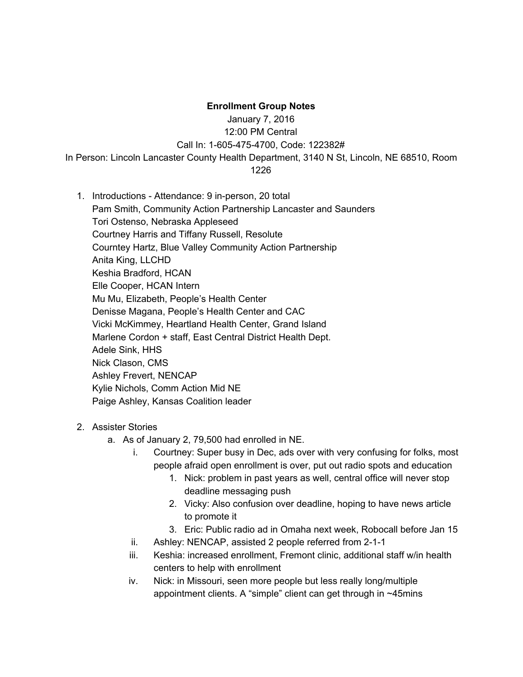## **Enrollment Group Notes**

January 7, 2016

12:00 PM Central

Call In: 1-605-475-4700, Code: 122382#

In Person: Lincoln Lancaster County Health Department, 3140 N St, Lincoln, NE 68510, Room

- 1226
- 1. Introductions Attendance: 9 in-person, 20 total Pam Smith, Community Action Partnership Lancaster and Saunders Tori Ostenso, Nebraska Appleseed Courtney Harris and Tiffany Russell, Resolute Courntey Hartz, Blue Valley Community Action Partnership Anita King, LLCHD Keshia Bradford, HCAN Elle Cooper, HCAN Intern Mu Mu, Elizabeth, People's Health Center Denisse Magana, People's Health Center and CAC Vicki McKimmey, Heartland Health Center, Grand Island Marlene Cordon + staff, East Central District Health Dept. Adele Sink, HHS Nick Clason, CMS Ashley Frevert, NENCAP Kylie Nichols, Comm Action Mid NE Paige Ashley, Kansas Coalition leader
- 2. Assister Stories
	- a. As of January 2, 79,500 had enrolled in NE.
		- i. Courtney: Super busy in Dec, ads over with very confusing for folks, most people afraid open enrollment is over, put out radio spots and education
			- 1. Nick: problem in past years as well, central office will never stop deadline messaging push
			- 2. Vicky: Also confusion over deadline, hoping to have news article to promote it
			- 3. Eric: Public radio ad in Omaha next week, Robocall before Jan 15
		- ii. Ashley: NENCAP, assisted 2 people referred from 2-1-1
		- iii. Keshia: increased enrollment, Fremont clinic, additional staff w/in health centers to help with enrollment
		- iv. Nick: in Missouri, seen more people but less really long/multiple appointment clients. A "simple" client can get through in ~45mins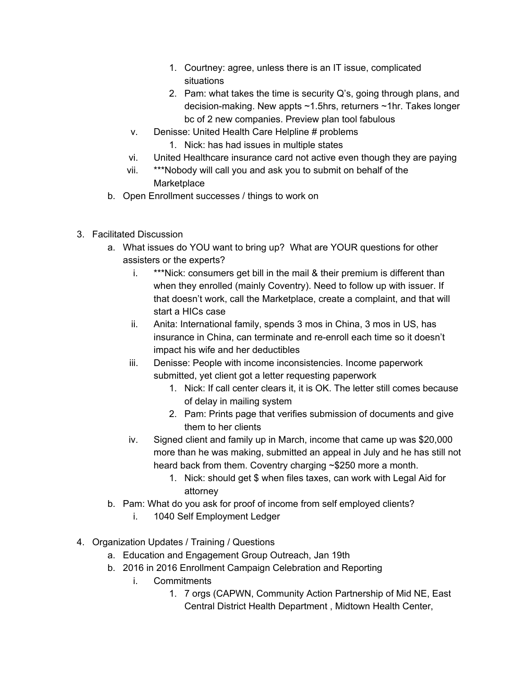- 1. Courtney: agree, unless there is an IT issue, complicated situations
- 2. Pam: what takes the time is security Q's, going through plans, and decision-making. New appts  $~1.5$ hrs, returners  $~1$ hr. Takes longer bc of 2 new companies. Preview plan tool fabulous
- v. Denisse: United Health Care Helpline # problems
	- 1. Nick: has had issues in multiple states
- vi. United Healthcare insurance card not active even though they are paying
- vii. \*\*\*Nobody will call you and ask you to submit on behalf of the **Marketplace**
- b. Open Enrollment successes / things to work on
- 3. Facilitated Discussion
	- a. What issues do YOU want to bring up? What are YOUR questions for other assisters or the experts?
		- i. \*\*\*Nick: consumers get bill in the mail & their premium is different than when they enrolled (mainly Coventry). Need to follow up with issuer. If that doesn't work, call the Marketplace, create a complaint, and that will start a HICs case
		- ii. Anita: International family, spends 3 mos in China, 3 mos in US, has insurance in China, can terminate and re-enroll each time so it doesn't impact his wife and her deductibles
		- iii. Denisse: People with income inconsistencies. Income paperwork submitted, yet client got a letter requesting paperwork
			- 1. Nick: If call center clears it, it is OK. The letter still comes because of delay in mailing system
			- 2. Pam: Prints page that verifies submission of documents and give them to her clients
		- iv. Signed client and family up in March, income that came up was \$20,000 more than he was making, submitted an appeal in July and he has still not heard back from them. Coventry charging ~\$250 more a month.
			- 1. Nick: should get \$ when files taxes, can work with Legal Aid for attorney
	- b. Pam: What do you ask for proof of income from self employed clients?
		- i. 1040 Self Employment Ledger
- 4. Organization Updates / Training / Questions
	- a. Education and Engagement Group Outreach, Jan 19th
	- b. 2016 in 2016 Enrollment Campaign Celebration and Reporting
		- i. Commitments
			- 1. 7 orgs (CAPWN, Community Action Partnership of Mid NE, East Central District Health Department , Midtown Health Center,